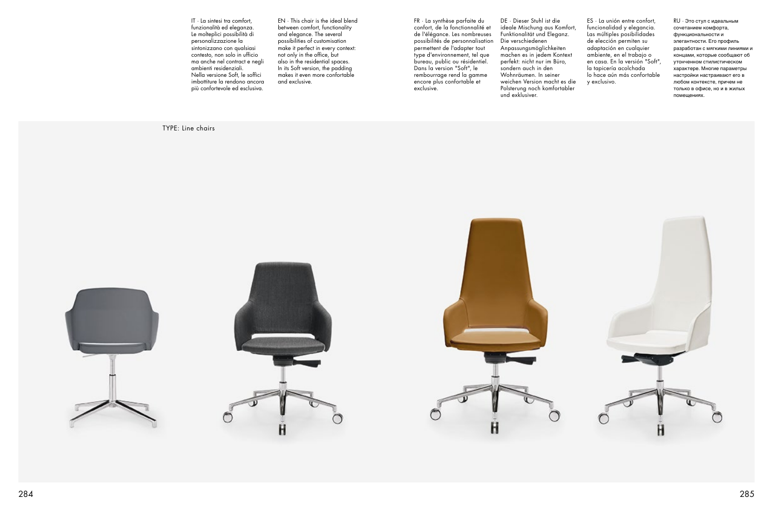TYPE: Line chairs







IT · La sintesi tra comfort, funzionalità ed eleganza. Le molteplici possibilità di personalizzazione la sintonizzano con qualsiasi contesto, non solo in ufficio ma anche nel contract e negli ambienti residenziali. Nella versione Soft, le soffici imbottiture la rendono ancora più confortevole ed esclusiva.

EN · This chair is the ideal blend between comfort, functionality and elegance. The several possibilities of customisation make it perfect in every context: not only in the office, but also in the residential spaces. In its Soft version, the padding makes it even more confortable and exclusive.

FR · La synthèse parfaite du confort, de la fonctionnalité et de l'élégance. Les nombreuses possibilités de personnalisation permettent de l'adapter tout type d'environnement, tel que bureau, public ou résidentiel. Dans la version "Soft", le rembourrage rend la gamme encore plus confortable et exclusive.

DE · Dieser Stuhl ist die ideale Mischung aus Komfort, Funktionalität und Eleganz. Die verschiedenen Anpassungsmöglichkeiten machen es in jedem Kontext perfekt: nicht nur im Büro, sondern auch in den Wohnräumen. In seiner weichen Version macht es die Polsterung noch komfortabler und exklusiver.

ES · La unión entre confort, funcionalidad y elegancia. Las múltiples posibilidades de elección permiten su adaptación en cualquier ambiente, en el trabajo o en casa. En la versión "Soft", la tapicería acolchada lo hace aún más confortable y exclusivo.

RU · Это стул с идеальным сочетанием комфорта, функциональности и элегантности. Его профиль разработан с мягкими линиями и концами, которые сообщают об утонченном стилистическом характере. Многие параметры настройки настраивают его в любом контексте, причем не только в офисе, но и в жилых помещениях.